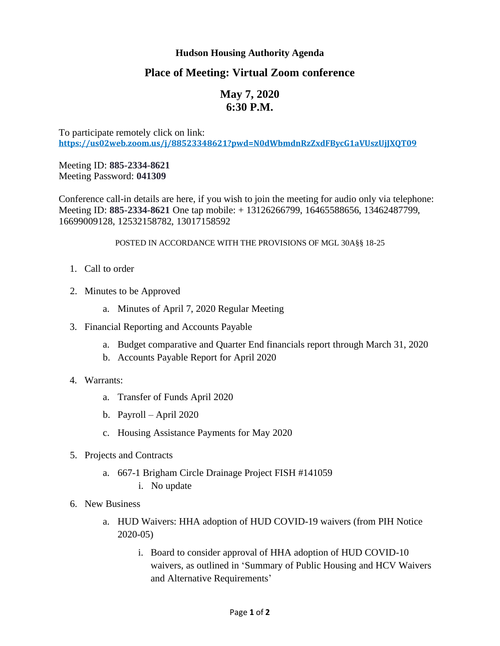### **Hudson Housing Authority Agenda**

## **Place of Meeting: Virtual Zoom conference**

# **May 7, 2020 6:30 P.M.**

To participate remotely click on link: **<https://us02web.zoom.us/j/88523348621?pwd=N0dWbmdnRzZxdFBycG1aVUszUjJXQT09>**

Meeting ID: **885-2334-8621** Meeting Password: **041309**

Conference call-in details are here, if you wish to join the meeting for audio only via telephone: Meeting ID: **885-2334-8621** One tap mobile: + 13126266799, 16465588656, 13462487799, 16699009128, 12532158782, 13017158592

#### POSTED IN ACCORDANCE WITH THE PROVISIONS OF MGL 30A§§ 18-25

- 1. Call to order
- 2. Minutes to be Approved
	- a. Minutes of April 7, 2020 Regular Meeting
- 3. Financial Reporting and Accounts Payable
	- a. Budget comparative and Quarter End financials report through March 31, 2020
	- b. Accounts Payable Report for April 2020
- 4. Warrants:
	- a. Transfer of Funds April 2020
	- b. Payroll April 2020
	- c. Housing Assistance Payments for May 2020
- 5. Projects and Contracts
	- a. 667-1 Brigham Circle Drainage Project FISH #141059
		- i. No update
- 6. New Business
	- a. HUD Waivers: HHA adoption of HUD COVID-19 waivers (from PIH Notice 2020-05)
		- i. Board to consider approval of HHA adoption of HUD COVID-10 waivers, as outlined in 'Summary of Public Housing and HCV Waivers and Alternative Requirements'